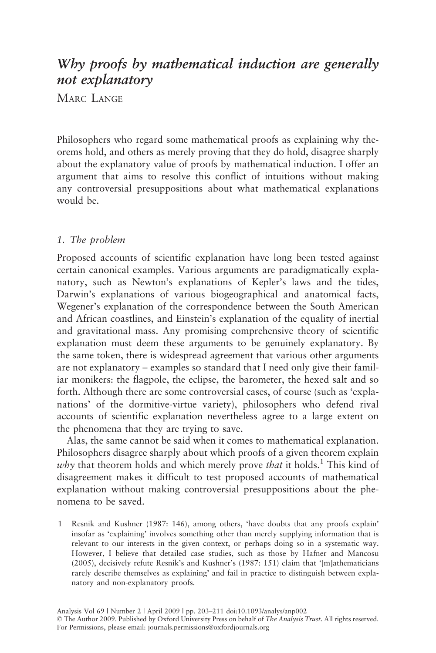# Why proofs by mathematical induction are generally not explanatory

MARC LANGE

Philosophers who regard some mathematical proofs as explaining why theorems hold, and others as merely proving that they do hold, disagree sharply about the explanatory value of proofs by mathematical induction. I offer an argument that aims to resolve this conflict of intuitions without making any controversial presuppositions about what mathematical explanations would be.

### 1. The problem

Proposed accounts of scientific explanation have long been tested against certain canonical examples. Various arguments are paradigmatically explanatory, such as Newton's explanations of Kepler's laws and the tides, Darwin's explanations of various biogeographical and anatomical facts, Wegener's explanation of the correspondence between the South American and African coastlines, and Einstein's explanation of the equality of inertial and gravitational mass. Any promising comprehensive theory of scientific explanation must deem these arguments to be genuinely explanatory. By the same token, there is widespread agreement that various other arguments are not explanatory – examples so standard that I need only give their familiar monikers: the flagpole, the eclipse, the barometer, the hexed salt and so forth. Although there are some controversial cases, of course (such as 'explanations' of the dormitive-virtue variety), philosophers who defend rival accounts of scientific explanation nevertheless agree to a large extent on the phenomena that they are trying to save.

Alas, the same cannot be said when it comes to mathematical explanation. Philosophers disagree sharply about which proofs of a given theorem explain why that theorem holds and which merely prove that it holds.<sup>1</sup> This kind of disagreement makes it difficult to test proposed accounts of mathematical explanation without making controversial presuppositions about the phenomena to be saved.

1 Resnik and Kushner (1987: 146), among others, 'have doubts that any proofs explain' insofar as 'explaining' involves something other than merely supplying information that is relevant to our interests in the given context, or perhaps doing so in a systematic way. However, I believe that detailed case studies, such as those by Hafner and Mancosu (2005), decisively refute Resnik's and Kushner's (1987: 151) claim that '[m]athematicians rarely describe themselves as explaining' and fail in practice to distinguish between explanatory and non-explanatory proofs.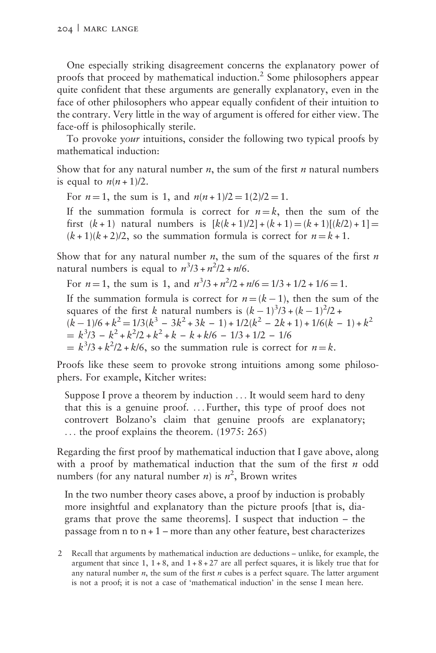One especially striking disagreement concerns the explanatory power of proofs that proceed by mathematical induction.<sup>2</sup> Some philosophers appear quite confident that these arguments are generally explanatory, even in the face of other philosophers who appear equally confident of their intuition to the contrary. Very little in the way of argument is offered for either view. The face-off is philosophically sterile.

To provoke your intuitions, consider the following two typical proofs by mathematical induction:

Show that for any natural number  $n$ , the sum of the first  $n$  natural numbers is equal to  $n(n+1)/2$ .

For  $n = 1$ , the sum is 1, and  $n(n + 1)/2 = 1(2)/2 = 1$ .

If the summation formula is correct for  $n = k$ , then the sum of the first  $(k+1)$  natural numbers is  $[k(k+1)/2] + (k+1) = (k+1)[(k/2)+1] =$  $(k+1)(k+2)/2$ , so the summation formula is correct for  $n = k+1$ .

Show that for any natural number  $n$ , the sum of the squares of the first  $n$ natural numbers is equal to  $n^3/3 + n^2/2 + n/6$ .

For  $n = 1$ , the sum is 1, and  $n^3/3 + n^2/2 + n/6 = 1/3 + 1/2 + 1/6 = 1$ .

If the summation formula is correct for  $n = (k - 1)$ , then the sum of the squares of the first k natural numbers is  $(k-1)^3/3 + (k-1)^2/2 +$  $(k-1)(6+k^2-1/3(k^3-3k^2+3k-1)+1/2(k^2-2k+1)+1/6(k-1)+k^2)$  $= k<sup>3</sup>/3 - k<sup>2</sup> + k<sup>2</sup>/2 + k<sup>2</sup> + k - k + k/6 - 1/3 + 1/2 - 1/6$  $= k<sup>3</sup>/3 + k<sup>2</sup>/2 + k/6$ , so the summation rule is correct for  $n = k$ .

Proofs like these seem to provoke strong intuitions among some philosophers. For example, Kitcher writes:

Suppose I prove a theorem by induction ... It would seem hard to deny that this is a genuine proof. ... Further, this type of proof does not controvert Bolzano's claim that genuine proofs are explanatory; ... the proof explains the theorem. (1975: 265)

Regarding the first proof by mathematical induction that I gave above, along with a proof by mathematical induction that the sum of the first  $n$  odd numbers (for any natural number *n*) is  $n^2$ , Brown writes

In the two number theory cases above, a proof by induction is probably more insightful and explanatory than the picture proofs [that is, diagrams that prove the same theorems]. I suspect that induction – the passage from  $n \times n + 1$  – more than any other feature, best characterizes

2 Recall that arguments by mathematical induction are deductions – unlike, for example, the argument that since 1,  $1 + 8$ , and  $1 + 8 + 27$  are all perfect squares, it is likely true that for any natural number  $n$ , the sum of the first  $n$  cubes is a perfect square. The latter argument is not a proof; it is not a case of 'mathematical induction' in the sense I mean here.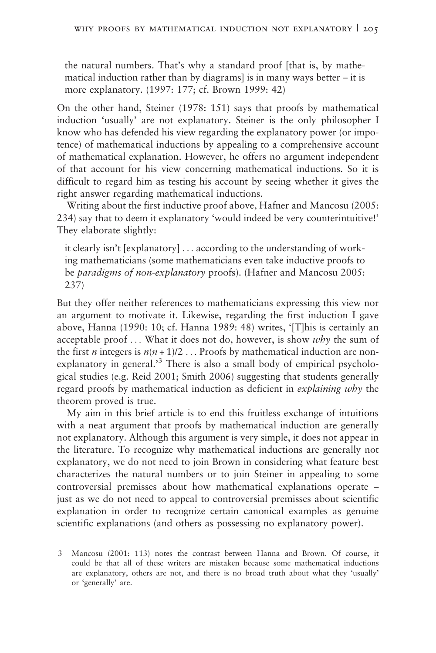the natural numbers. That's why a standard proof [that is, by mathematical induction rather than by diagrams] is in many ways better  $-$  it is more explanatory. (1997: 177; cf. Brown 1999: 42)

On the other hand, Steiner (1978: 151) says that proofs by mathematical induction 'usually' are not explanatory. Steiner is the only philosopher I know who has defended his view regarding the explanatory power (or impotence) of mathematical inductions by appealing to a comprehensive account of mathematical explanation. However, he offers no argument independent of that account for his view concerning mathematical inductions. So it is difficult to regard him as testing his account by seeing whether it gives the right answer regarding mathematical inductions.

Writing about the first inductive proof above, Hafner and Mancosu (2005: 234) say that to deem it explanatory 'would indeed be very counterintuitive!' They elaborate slightly:

it clearly isn't [explanatory] ... according to the understanding of working mathematicians (some mathematicians even take inductive proofs to be paradigms of non-explanatory proofs). (Hafner and Mancosu 2005: 237)

But they offer neither references to mathematicians expressing this view nor an argument to motivate it. Likewise, regarding the first induction I gave above, Hanna (1990: 10; cf. Hanna 1989: 48) writes, '[T]his is certainly an acceptable proof  $\dots$  What it does not do, however, is show why the sum of the first *n* integers is  $n(n + 1)/2$ ... Proofs by mathematical induction are nonexplanatory in general.<sup>3</sup> There is also a small body of empirical psychological studies (e.g. Reid 2001; Smith 2006) suggesting that students generally regard proofs by mathematical induction as deficient in *explaining why* the theorem proved is true.

My aim in this brief article is to end this fruitless exchange of intuitions with a neat argument that proofs by mathematical induction are generally not explanatory. Although this argument is very simple, it does not appear in the literature. To recognize why mathematical inductions are generally not explanatory, we do not need to join Brown in considering what feature best characterizes the natural numbers or to join Steiner in appealing to some controversial premisses about how mathematical explanations operate – just as we do not need to appeal to controversial premisses about scientific explanation in order to recognize certain canonical examples as genuine scientific explanations (and others as possessing no explanatory power).

<sup>3</sup> Mancosu (2001: 113) notes the contrast between Hanna and Brown. Of course, it could be that all of these writers are mistaken because some mathematical inductions are explanatory, others are not, and there is no broad truth about what they 'usually' or 'generally' are.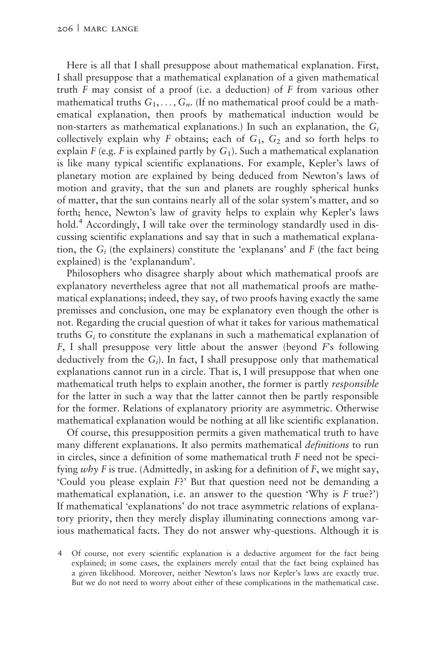Here is all that I shall presuppose about mathematical explanation. First, I shall presuppose that a mathematical explanation of a given mathematical truth  $F$  may consist of a proof (i.e. a deduction) of  $F$  from various other mathematical truths  $G_1, \ldots, G_n$ . (If no mathematical proof could be a mathematical explanation, then proofs by mathematical induction would be non-starters as mathematical explanations.) In such an explanation, the  $G_i$ collectively explain why F obtains; each of  $G_1$ ,  $G_2$  and so forth helps to explain  $F$  (e.g. F is explained partly by  $G_1$ ). Such a mathematical explanation is like many typical scientific explanations. For example, Kepler's laws of planetary motion are explained by being deduced from Newton's laws of motion and gravity, that the sun and planets are roughly spherical hunks of matter, that the sun contains nearly all of the solar system's matter, and so forth; hence, Newton's law of gravity helps to explain why Kepler's laws hold.<sup>4</sup> Accordingly, I will take over the terminology standardly used in discussing scientific explanations and say that in such a mathematical explanation, the  $G_i$  (the explainers) constitute the 'explanans' and  $F$  (the fact being explained) is the 'explanandum'.

Philosophers who disagree sharply about which mathematical proofs are explanatory nevertheless agree that not all mathematical proofs are mathematical explanations; indeed, they say, of two proofs having exactly the same premisses and conclusion, one may be explanatory even though the other is not. Regarding the crucial question of what it takes for various mathematical truths  $G_i$  to constitute the explanans in such a mathematical explanation of F, I shall presuppose very little about the answer (beyond F's following deductively from the  $G_i$ ). In fact, I shall presuppose only that mathematical explanations cannot run in a circle. That is, I will presuppose that when one mathematical truth helps to explain another, the former is partly responsible for the latter in such a way that the latter cannot then be partly responsible for the former. Relations of explanatory priority are asymmetric. Otherwise mathematical explanation would be nothing at all like scientific explanation.

Of course, this presupposition permits a given mathematical truth to have many different explanations. It also permits mathematical *definitions* to run in circles, since a definition of some mathematical truth F need not be specifying  $wby F$  is true. (Admittedly, in asking for a definition of  $F$ , we might say, 'Could you please explain F?' But that question need not be demanding a mathematical explanation, i.e. an answer to the question 'Why is F true?') If mathematical 'explanations' do not trace asymmetric relations of explanatory priority, then they merely display illuminating connections among various mathematical facts. They do not answer why-questions. Although it is

4 Of course, not every scientific explanation is a deductive argument for the fact being explained; in some cases, the explainers merely entail that the fact being explained has a given likelihood. Moreover, neither Newton's laws nor Kepler's laws are exactly true. But we do not need to worry about either of these complications in the mathematical case.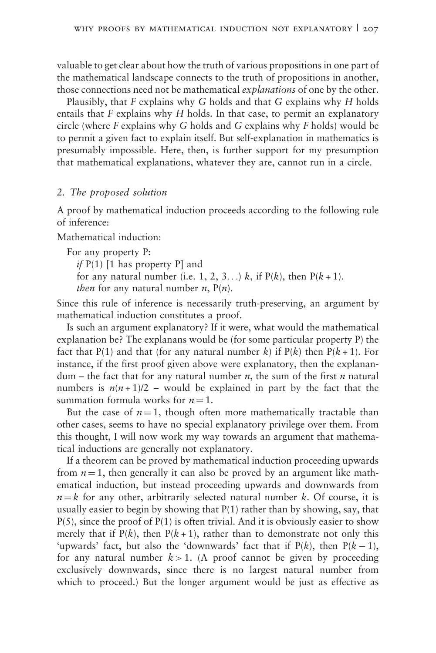valuable to get clear about how the truth of various propositions in one part of the mathematical landscape connects to the truth of propositions in another, those connections need not be mathematical *explanations* of one by the other.

Plausibly, that  $F$  explains why  $G$  holds and that  $G$  explains why  $H$  holds entails that  $F$  explains why  $H$  holds. In that case, to permit an explanatory circle (where F explains why G holds and G explains why F holds) would be to permit a given fact to explain itself. But self-explanation in mathematics is presumably impossible. Here, then, is further support for my presumption that mathematical explanations, whatever they are, cannot run in a circle.

#### 2. The proposed solution

A proof by mathematical induction proceeds according to the following rule of inference:

Mathematical induction:

For any property P:

*if*  $P(1)$  [1 has property P] and

for any natural number (i.e. 1, 2, 3...) k, if  $P(k)$ , then  $P(k + 1)$ .

*then* for any natural number *n*,  $P(n)$ .

Since this rule of inference is necessarily truth-preserving, an argument by mathematical induction constitutes a proof.

Is such an argument explanatory? If it were, what would the mathematical explanation be? The explanans would be (for some particular property P) the fact that P(1) and that (for any natural number k) if  $P(k)$  then  $P(k+1)$ . For instance, if the first proof given above were explanatory, then the explanandum – the fact that for any natural number  $n$ , the sum of the first  $n$  natural numbers is  $n(n+1)/2$  – would be explained in part by the fact that the summation formula works for  $n = 1$ .

But the case of  $n = 1$ , though often more mathematically tractable than other cases, seems to have no special explanatory privilege over them. From this thought, I will now work my way towards an argument that mathematical inductions are generally not explanatory.

If a theorem can be proved by mathematical induction proceeding upwards from  $n = 1$ , then generally it can also be proved by an argument like mathematical induction, but instead proceeding upwards and downwards from  $n = k$  for any other, arbitrarily selected natural number k. Of course, it is usually easier to begin by showing that  $P(1)$  rather than by showing, say, that  $P(5)$ , since the proof of  $P(1)$  is often trivial. And it is obviously easier to show merely that if  $P(k)$ , then  $P(k + 1)$ , rather than to demonstrate not only this 'upwards' fact, but also the 'downwards' fact that if  $P(k)$ , then  $P(k-1)$ , for any natural number  $k > 1$ . (A proof cannot be given by proceeding exclusively downwards, since there is no largest natural number from which to proceed.) But the longer argument would be just as effective as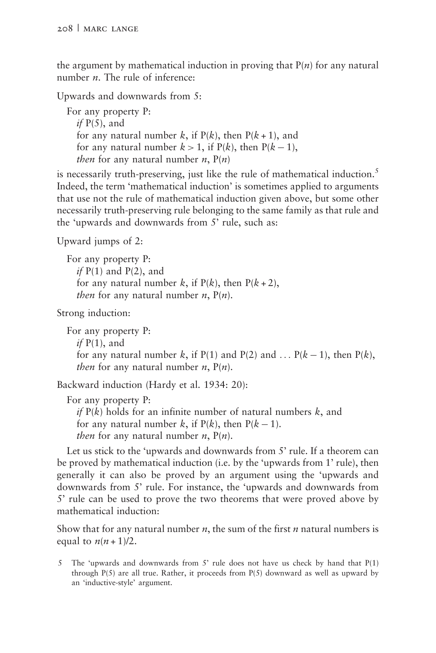the argument by mathematical induction in proving that  $P(n)$  for any natural number  $n$ . The rule of inference:

Upwards and downwards from 5:

For any property P:  $if P(5)$ , and for any natural number k, if  $P(k)$ , then  $P(k + 1)$ , and for any natural number  $k > 1$ , if  $P(k)$ , then  $P(k-1)$ , *then* for any natural number *n*,  $P(n)$ 

is necessarily truth-preserving, just like the rule of mathematical induction.<sup>5</sup> Indeed, the term 'mathematical induction' is sometimes applied to arguments that use not the rule of mathematical induction given above, but some other necessarily truth-preserving rule belonging to the same family as that rule and the 'upwards and downwards from 5' rule, such as:

Upward jumps of 2:

```
For any property P:
  if P(1) and P(2), and
  for any natural number k, if P(k), then P(k+2),
  then for any natural number n, P(n).
```
Strong induction:

```
For any property P:
  if P(1), and
  for any natural number k, if P(1) and P(2) and ... P(k-1), then P(k),
  then for any natural number n, P(n).
```
Backward induction (Hardy et al. 1934: 20):

```
For any property P:
```

```
if P(k) holds for an infinite number of natural numbers k, and
for any natural number k, if P(k), then P(k-1).
then for any natural number n, P(n).
```
Let us stick to the 'upwards and downwards from 5' rule. If a theorem can be proved by mathematical induction (i.e. by the 'upwards from 1' rule), then generally it can also be proved by an argument using the 'upwards and downwards from 5' rule. For instance, the 'upwards and downwards from 5' rule can be used to prove the two theorems that were proved above by mathematical induction:

Show that for any natural number  $n$ , the sum of the first  $n$  natural numbers is equal to  $n(n+1)/2$ .

5 The 'upwards and downwards from 5' rule does not have us check by hand that P(1) through  $P(5)$  are all true. Rather, it proceeds from  $P(5)$  downward as well as upward by an 'inductive-style' argument.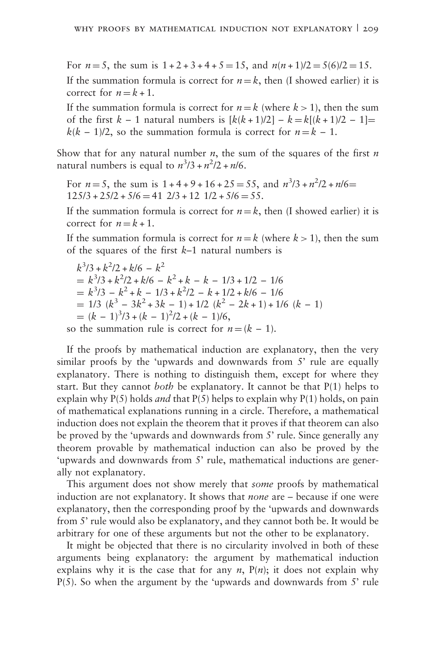For  $n = 5$ , the sum is  $1 + 2 + 3 + 4 + 5 = 15$ , and  $n(n + 1)/2 = 5(6)/2 = 15$ . If the summation formula is correct for  $n = k$ , then (I showed earlier) it is correct for  $n = k + 1$ .

If the summation formula is correct for  $n = k$  (where  $k > 1$ ), then the sum of the first  $k - 1$  natural numbers is  $[k(k + 1)/2] - k = k[(k + 1)/2 - 1] =$  $k(k - 1)/2$ , so the summation formula is correct for  $n = k - 1$ .

Show that for any natural number *n*, the sum of the squares of the first *n* natural numbers is equal to  $n^3/3 + n^2/2 + n/6$ .

For  $n = 5$ , the sum is  $1 + 4 + 9 + 16 + 25 = 55$ , and  $n^3/3 + n^2/2 + n/6 =$  $125/3 + 25/2 + 5/6 = 41$   $2/3 + 12$   $1/2 + 5/6 = 55$ .

If the summation formula is correct for  $n = k$ , then (I showed earlier) it is correct for  $n = k + 1$ .

If the summation formula is correct for  $n = k$  (where  $k > 1$ ), then the sum of the squares of the first  $k-1$  natural numbers is

 $k^3/3 + k^2/2 + k/6 - k^2$  $= k<sup>3</sup>/3 + k<sup>2</sup>/2 + k/6 - k<sup>2</sup> + k - k - 1/3 + 1/2 - 1/6$  $= k<sup>3</sup>/3 - k<sup>2</sup> + k - 1/3 + k<sup>2</sup>/2 - k + 1/2 + k/6 - 1/6$  $= 1/3$   $(k^3 - 3k^2 + 3k - 1) + 1/2$   $(k^2 - 2k + 1) + 1/6$   $(k - 1)$  $= (k-1)^3/3 + (k-1)^2/2 + (k-1)/6,$ so the summation rule is correct for  $n = (k - 1)$ .

If the proofs by mathematical induction are explanatory, then the very similar proofs by the 'upwards and downwards from 5' rule are equally explanatory. There is nothing to distinguish them, except for where they start. But they cannot *both* be explanatory. It cannot be that  $P(1)$  helps to explain why  $P(5)$  holds *and* that  $P(5)$  helps to explain why  $P(1)$  holds, on pain of mathematical explanations running in a circle. Therefore, a mathematical induction does not explain the theorem that it proves if that theorem can also be proved by the 'upwards and downwards from 5' rule. Since generally any theorem provable by mathematical induction can also be proved by the 'upwards and downwards from 5' rule, mathematical inductions are generally not explanatory.

This argument does not show merely that *some* proofs by mathematical induction are not explanatory. It shows that none are – because if one were explanatory, then the corresponding proof by the 'upwards and downwards from 5' rule would also be explanatory, and they cannot both be. It would be arbitrary for one of these arguments but not the other to be explanatory.

It might be objected that there is no circularity involved in both of these arguments being explanatory: the argument by mathematical induction explains why it is the case that for any  $n$ ,  $P(n)$ ; it does not explain why  $P(5)$ . So when the argument by the 'upwards and downwards from  $5'$  rule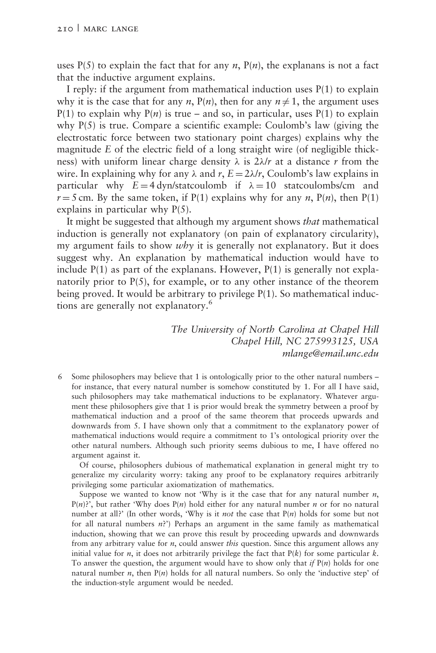uses  $P(5)$  to explain the fact that for any *n*,  $P(n)$ , the explanans is not a fact that the inductive argument explains.

I reply: if the argument from mathematical induction uses  $P(1)$  to explain why it is the case that for any n,  $P(n)$ , then for any  $n \neq 1$ , the argument uses  $P(1)$  to explain why  $P(n)$  is true – and so, in particular, uses  $P(1)$  to explain why  $P(5)$  is true. Compare a scientific example: Coulomb's law (giving the electrostatic force between two stationary point charges) explains why the magnitude E of the electric field of a long straight wire (of negligible thickness) with uniform linear charge density  $\lambda$  is  $2\lambda/r$  at a distance r from the wire. In explaining why for any  $\lambda$  and  $r$ ,  $E = 2\lambda/r$ , Coulomb's law explains in particular why  $E = 4$  dyn/statcoulomb if  $\lambda = 10$  statcoulombs/cm and  $r = 5$  cm. By the same token, if P(1) explains why for any n, P(n), then P(1) explains in particular why P(5).

It might be suggested that although my argument shows *that* mathematical induction is generally not explanatory (on pain of explanatory circularity), my argument fails to show  $why$  it is generally not explanatory. But it does suggest why. An explanation by mathematical induction would have to include  $P(1)$  as part of the explanans. However,  $P(1)$  is generally not explanatorily prior to  $P(5)$ , for example, or to any other instance of the theorem being proved. It would be arbitrary to privilege P(1). So mathematical inductions are generally not explanatory.<sup>6</sup>

> The University of North Carolina at Chapel Hill Chapel Hill, NC 275993125, USA mlange@email.unc.edu

6 Some philosophers may believe that 1 is ontologically prior to the other natural numbers – for instance, that every natural number is somehow constituted by 1. For all I have said, such philosophers may take mathematical inductions to be explanatory. Whatever argument these philosophers give that 1 is prior would break the symmetry between a proof by mathematical induction and a proof of the same theorem that proceeds upwards and downwards from 5. I have shown only that a commitment to the explanatory power of mathematical inductions would require a commitment to 1's ontological priority over the other natural numbers. Although such priority seems dubious to me, I have offered no argument against it.

Of course, philosophers dubious of mathematical explanation in general might try to generalize my circularity worry: taking any proof to be explanatory requires arbitrarily privileging some particular axiomatization of mathematics.

Suppose we wanted to know not 'Why is it the case that for any natural number  $n$ ,  $P(n)$ ?, but rather 'Why does  $P(n)$  hold either for any natural number n or for no natural number at all?' (In other words, 'Why is it *not* the case that  $P(n)$  holds for some but not for all natural numbers n?') Perhaps an argument in the same family as mathematical induction, showing that we can prove this result by proceeding upwards and downwards from any arbitrary value for  $n$ , could answer *this* question. Since this argument allows any initial value for  $n$ , it does not arbitrarily privilege the fact that  $P(k)$  for some particular  $k$ . To answer the question, the argument would have to show only that if  $P(n)$  holds for one natural number *n*, then  $P(n)$  holds for all natural numbers. So only the 'inductive step' of the induction-style argument would be needed.